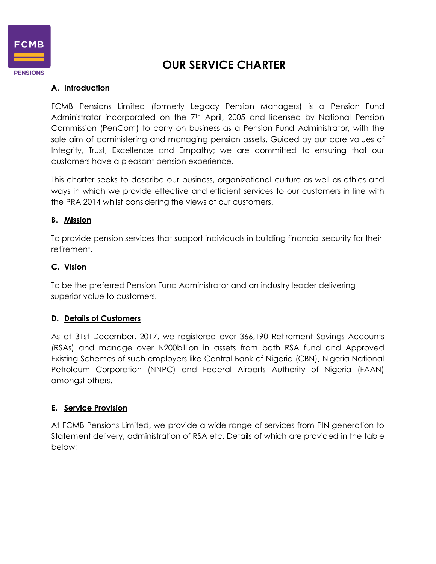

# **OUR SERVICE CHARTER**

# **A. Introduction**

FCMB Pensions Limited (formerly Legacy Pension Managers) is a Pension Fund Administrator incorporated on the 7<sup>TH</sup> April, 2005 and licensed by National Pension Commission (PenCom) to carry on business as a Pension Fund Administrator, with the sole aim of administering and managing pension assets. Guided by our core values of Integrity, Trust, Excellence and Empathy; we are committed to ensuring that our customers have a pleasant pension experience.

This charter seeks to describe our business, organizational culture as well as ethics and ways in which we provide effective and efficient services to our customers in line with the PRA 2014 whilst considering the views of our customers.

### **B. Mission**

To provide pension services that support individuals in building financial security for their retirement.

### **C. Vision**

To be the preferred Pension Fund Administrator and an industry leader delivering superior value to customers.

### **D. Details of Customers**

As at 31st December, 2017, we registered over 366,190 Retirement Savings Accounts (RSAs) and manage over N200billion in assets from both RSA fund and Approved Existing Schemes of such employers like Central Bank of Nigeria (CBN), Nigeria National Petroleum Corporation (NNPC) and Federal Airports Authority of Nigeria (FAAN) amongst others.

### **E. Service Provision**

At FCMB Pensions Limited, we provide a wide range of services from PIN generation to Statement delivery, administration of RSA etc. Details of which are provided in the table below;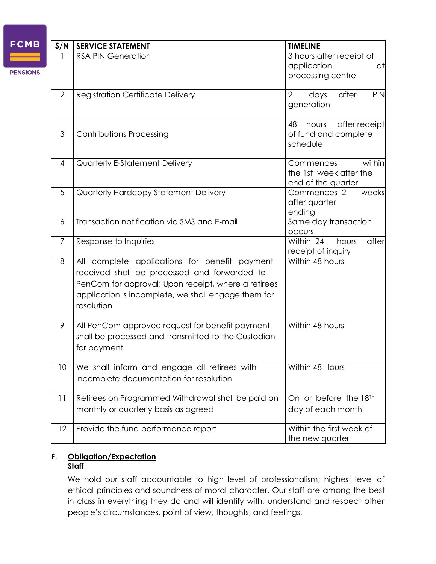| <b>FCMB</b>     | S/N            | <b>SERVICE STATEMENT</b>                                                                                                                                                                                                  | <b>TIMELINE</b>                                                     |
|-----------------|----------------|---------------------------------------------------------------------------------------------------------------------------------------------------------------------------------------------------------------------------|---------------------------------------------------------------------|
| <b>PENSIONS</b> |                | <b>RSA PIN Generation</b>                                                                                                                                                                                                 | 3 hours after receipt of<br>application<br>at<br>processing centre  |
|                 | $\mathbf{2}$   | <b>Registration Certificate Delivery</b>                                                                                                                                                                                  | 2<br>days<br>after<br>PIN<br>generation                             |
|                 | 3              | <b>Contributions Processing</b>                                                                                                                                                                                           | 48<br>after receipt<br>hours<br>of fund and complete<br>schedule    |
|                 | 4              | Quarterly E-Statement Delivery                                                                                                                                                                                            | within<br>Commences<br>the 1st week after the<br>end of the quarter |
|                 | 5              | Quarterly Hardcopy Statement Delivery                                                                                                                                                                                     | Commences 2<br>weeks<br>after quarter<br>ending                     |
|                 | 6              | Transaction notification via SMS and E-mail                                                                                                                                                                               | Same day transaction<br><b>OCCUIS</b>                               |
|                 | $\overline{7}$ | Response to Inquiries                                                                                                                                                                                                     | Within 24<br>after<br>hours<br>receipt of inquiry                   |
|                 | 8              | All complete applications for benefit payment<br>received shall be processed and forwarded to<br>PenCom for approval; Upon receipt, where a retirees<br>application is incomplete, we shall engage them for<br>resolution | Within 48 hours                                                     |
|                 | 9              | All PenCom approved request for benefit payment<br>shall be processed and transmitted to the Custodian<br>for payment                                                                                                     | Within 48 hours                                                     |
|                 | 10             | We shall inform and engage all retirees with<br>incomplete documentation for resolution                                                                                                                                   | Within 48 Hours                                                     |
|                 | 11             | Retirees on Programmed Withdrawal shall be paid on<br>monthly or quarterly basis as agreed                                                                                                                                | On or before the 18 <sup>TH</sup><br>day of each month              |
|                 | 12             | Provide the fund performance report                                                                                                                                                                                       | Within the first week of<br>the new quarter                         |

#### **F. Obligation/Expectation Staff**

We hold our staff accountable to high level of professionalism; highest level of ethical principles and soundness of moral character. Our staff are among the best in class in everything they do and will identify with, understand and respect other people's circumstances, point of view, thoughts, and feelings.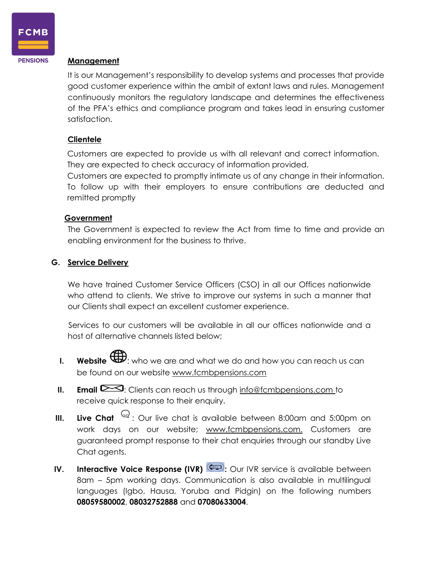

**PENSIONS** 

#### **Management**

It is our Management's responsibility to develop systems and processes that provide good customer experience within the ambit of extant laws and rules. Management continuously monitors the regulatory landscape and determines the effectiveness of the PFA's ethics and compliance program and takes lead in ensuring customer satisfaction.

#### **Clientele**

Customers are expected to provide us with all relevant and correct information. They are expected to check accuracy of information provided.

Customers are expected to promptly intimate us of any change in their information. To follow up with their employers to ensure contributions are deducted and remitted promptly

#### **Government**

The Government is expected to review the Act from time to time and provide an enabling environment for the business to thrive.

#### **G. Service Delivery**

We have trained Customer Service Officers (CSO) in all our Offices nationwide who attend to clients. We strive to improve our systems in such a manner that our Clients shall expect an excellent customer experience.

Services to our customers will be available in all our offices nationwide and a host of alternative channels listed below;

- **I.** Website  $\bigoplus$ : who we are and what we do and how you can reach us can be found on our website [www.fcmbpensions.com](http://www.fcmbpensions.com/)
- **II. Email**  $\geq 3$ **:** Clients can reach us through [info@fcmbpensions.com t](mailto:info@fcmbpensions.com)o receive quick response to their enquiry.
- **III.** Live Chat  $\mathbb{Q}$ : Our live chat is available between 8:00am and 5:00pm on work days on our website; [www.fcmbpensions.com.](http://www.fcmbpensions.com/) Customers are guaranteed prompt response to their chat enquiries through our standby Live Chat agents.
- **IV. Interactive Voice Response (IVR)**  $\left(\bigcup_{i=1}^{n} C_i\right)$  Our IVR service is available between 8am – 5pm working days. Communication is also available in multilingual languages (Igbo, Hausa, Yoruba and Pidgin) on the following numbers **08059580002**, **08032752888** and **07080633004**.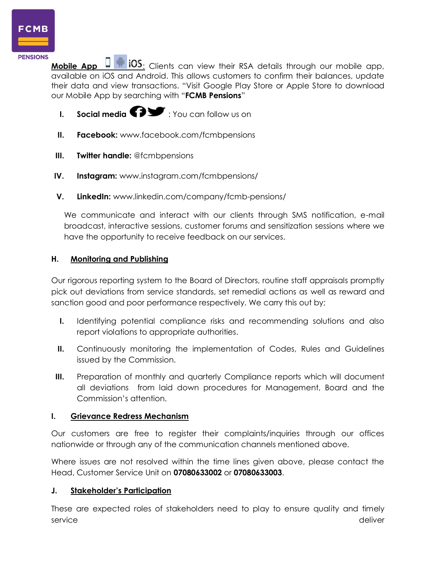

**Mobile App**  $\Box$  **<b>i**f iOS: Clients can view their RSA details through our mobile app, available on iOS and Android. This allows customers to confirm their balances, update their data and view transactions. "Visit Google Play Store or Apple Store to download our Mobile App by searching with "**FCMB Pensions**"

- **I. Social media**  $\bullet$  : You can follow us on
- **II. Facebook:** [www.facebook.com/fcmbpensions](http://www.facebook.com/fcmbpensions)
- **III. Twitter handle:** [@fcmbpensions](http://www.instagram.com/fcmbpensions/)
- **IV. Instagram:** [www.instagram.com/fcmbpensions/](http://www.instagram.com/fcmbpensions/)
- **V. LinkedIn:** [www.linkedin.com/company/fcmb-pensions/](http://www.linkedin.com/company/fcmb-pensions/)

We communicate and interact with our clients through SMS notification, e-mail broadcast, interactive sessions, customer forums and sensitization sessions where we have the opportunity to receive feedback on our services.

# **H. Monitoring and Publishing**

Our rigorous reporting system to the Board of Directors, routine staff appraisals promptly pick out deviations from service standards, set remedial actions as well as reward and sanction good and poor performance respectively. We carry this out by;

- **I.** Identifying potential compliance risks and recommending solutions and also report violations to appropriate authorities.
- **II.** Continuously monitoring the implementation of Codes, Rules and Guidelines issued by the Commission.
- **III.** Preparation of monthly and quarterly Compliance reports which will document all deviations from laid down procedures for Management, Board and the Commission's attention.

# **I. Grievance Redress Mechanism**

Our customers are free to register their complaints/inquiries through our offices nationwide or through any of the communication channels mentioned above.

Where issues are not resolved within the time lines given above, please contact the Head, Customer Service Unit on **07080633002** or **07080633003**.

# **J. Stakeholder's Participation**

These are expected roles of stakeholders need to play to ensure quality and timely service deliver and the service deliver  $\sim$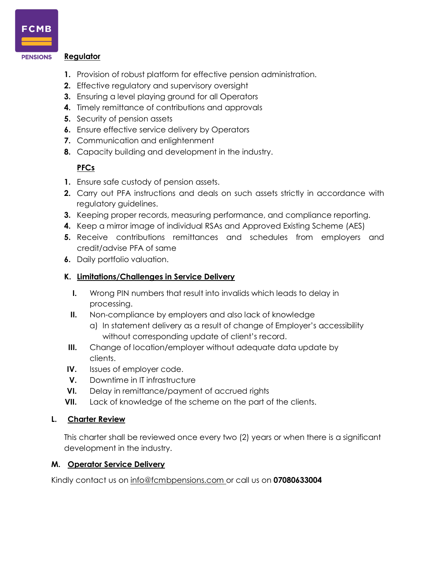

#### **Regulator PENSIONS**

- **1.** Provision of robust platform for effective pension administration.
- **2.** Effective regulatory and supervisory oversight
- **3.** Ensuring a level playing ground for all Operators
- **4.** Timely remittance of contributions and approvals
- **5.** Security of pension assets
- **6.** Ensure effective service delivery by Operators
- **7.** Communication and enlightenment
- **8.** Capacity building and development in the industry.

## **PFCs**

- **1.** Ensure safe custody of pension assets.
- **2.** Carry out PFA instructions and deals on such assets strictly in accordance with regulatory guidelines.
- **3.** Keeping proper records, measuring performance, and compliance reporting.
- **4.** Keep a mirror image of individual RSAs and Approved Existing Scheme (AES)
- **5.** Receive contributions remittances and schedules from employers and credit/advise PFA of same
- **6.** Daily portfolio valuation.

#### **K. Limitations/Challenges in Service Delivery**

- **I.** Wrong PIN numbers that result into invalids which leads to delay in processing.
- **II.** Non-compliance by employers and also lack of knowledge a) In statement delivery as a result of change of Employer's accessibility without corresponding update of client's record.
- **III.** Change of location/employer without adequate data update by clients.
- **IV.** Issues of employer code.
- **V.** Downtime in IT infrastructure
- **VI.** Delay in remittance/payment of accrued rights
- **VII.** Lack of knowledge of the scheme on the part of the clients.

#### **L. Charter Review**

This charter shall be reviewed once every two (2) years or when there is a significant development in the industry.

#### **M. Operator Service Delivery**

Kindly contact us on [info@fcmbpensions.com o](mailto:info@fcmbpensions.com)r call us on **07080633004**